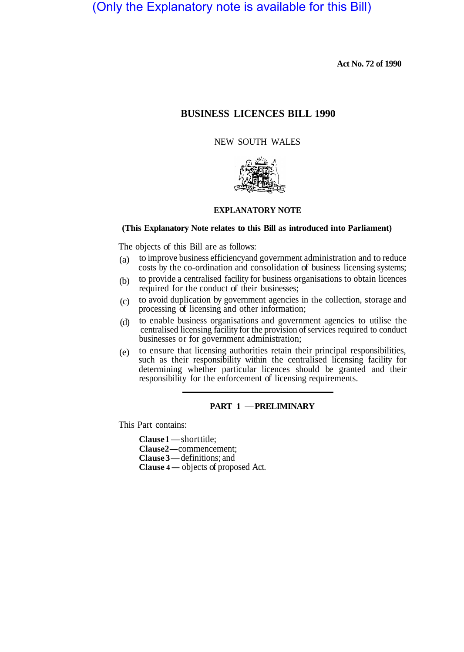# (Only the Explanatory note is available for this Bill)

**Act No. 72 of 1990** 

# **BUSINESS LICENCES BILL 1990**

# NEW SOUTH WALES



# **EXPLANATORY NOTE**

## **(This Explanatory Note relates to this Bill as introduced into Parliament)**

The objects of this Bill are as follows:

- to improve business efficiency and government administration and to reduce costs by the co-ordination and consolidation of business licensing systems; (a)
- to provide a centralised facility for business organisations to obtain licences required for the conduct of their businesses; (b)
- to avoid duplication by government agencies in the collection, storage and processing of licensing and other information;  $(c)$
- to enable business organisations and government agencies to utilise the centralised licensing facility for the provision of services required to conduct businesses or for government administration; (d)
- to ensure that licensing authorities retain their principal responsibilities, such as their responsibility within the centralised licensing facility for determining whether particular licences should be granted and their responsibility for the enforcement of licensing requirements. (e)

## **PART 1 — PRELIMINARY**

This Part contains:

Clause 1-short title; **Clause 2—** commencement; **Clause 3 —** definitions; and **Clause 4 —** objects of proposed Act.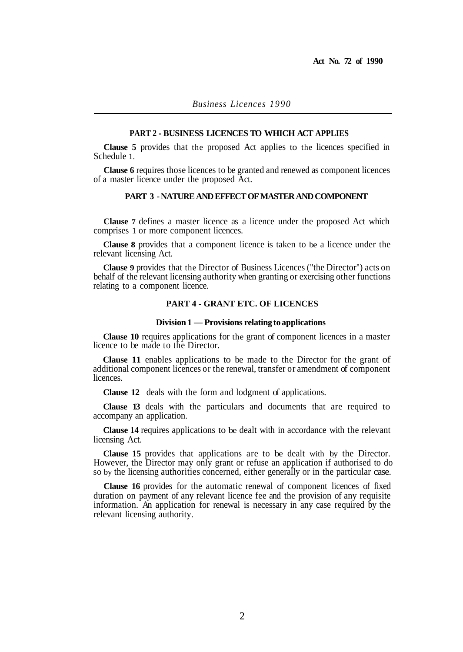## **PART 2 - BUSINESS LICENCES TO WHICH ACT APPLIES**

**Clause 5** provides that the proposed Act applies to the licences specified in Schedule 1.

**Clause 6** requires those licences to be granted and renewed as component licences of a master licence under the proposed Act.

## **PART 3 - NATURE AND EFFECT OF MASTER AND COMPONENT**

**Clause 7** defines a master licence as a licence under the proposed Act which comprises 1 or more component licences.

**Clause 8** provides that a component licence is taken to be a licence under the relevant licensing Act.

**Clause 9** provides that the Director of Business Licences ("the Director") acts on behalf of the relevant licensing authority when granting or exercising other functions relating to a component licence.

## **PART 4 - GRANT ETC. OF LICENCES**

## **Division 1 — Provisions relating to applications**

**Clause 10** requires applications for the grant of component licences in a master licence to be made to the Director.

**Clause 11** enables applications to be made to the Director for the grant of additional component licences or the renewal, transfer or amendment of component licences.

**Clause 12** deals with the form and lodgment of applications.

**Clause 13** deals with the particulars and documents that are required to accompany an application.

**Clause 14** requires applications to be dealt with in accordance with the relevant licensing Act.

**Clause 15** provides that applications are to be dealt with by the Director. However, the Director may only grant or refuse an application if authorised to do so by the licensing authorities concerned, either generally or in the particular case.

**Clause 16** provides for the automatic renewal of component licences of fixed duration on payment of any relevant licence fee and the provision of any requisite information. An application for renewal is necessary in any case required by the relevant licensing authority.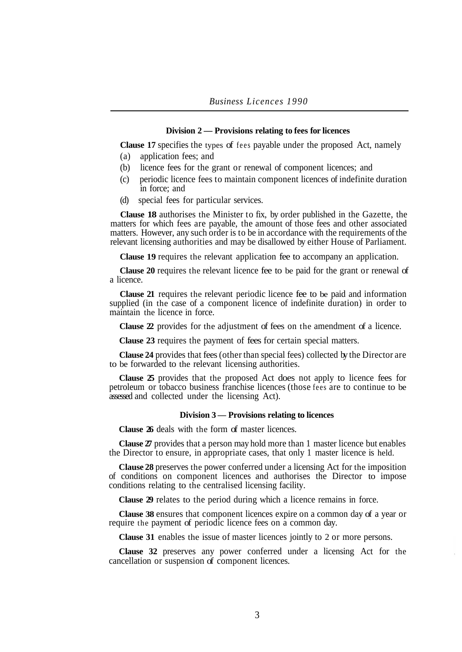## **Division 2 — Provisions relating to fees for licences**

**Clause 17** specifies the types of fees payable under the proposed Act, namely

- (a) application fees; and
- (b) licence fees for the grant or renewal of component licences; and
- (c) periodic licence fees to maintain component licences of indefinite duration in force; and
- (d) special fees for particular services.

**Clause 18** authorises the Minister to fix, by order published in the Gazette, the matters for which fees are payable, the amount of those fees and other associated matters. However, any such order is to be in accordance with the requirements of the relevant licensing authorities and may be disallowed by either House of Parliament.

**Clause 19** requires the relevant application fee to accompany an application.

**Clause 20** requires the relevant licence fee to be paid for the grant or renewal of a licence.

**Clause 21** requires the relevant periodic licence fee to be paid and information supplied (in the case of a component licence of indefinite duration) in order to maintain the licence in force.

**Clause 22** provides for the adjustment of fees on the amendment of a licence.

**Clause 23** requires the payment of fees for certain special matters.

**Clause 24** provides that fees (other than special fees) collected by the Director are to be forwarded to the relevant licensing authorities.

**Clause 25** provides that the proposed Act does not apply to licence fees for petroleum or tobacco business franchise licences (those fees are to continue to be assessed and collected under the licensing Act).

#### **Division 3 — Provisions relating to licences**

**Clause 26** deals with the form of master licences.

**Clause 27** provides that a person may hold more than 1 master licence but enables the Director to ensure, in appropriate cases, that only 1 master licence is held.

**Clause 28** preserves the power conferred under a licensing Act for the imposition of conditions on component licences and authorises the Director to impose conditions relating to the centralised licensing facility.

**Clause 29** relates to the period during which a licence remains in force.

**Clause 38** ensures that component licences expire on a common day of a year or require the payment of periodic licence fees on a common day.

**Clause 31** enables the issue of master licences jointly to 2 or more persons.

**Clause 32** preserves any power conferred under a licensing Act for the cancellation or suspension of component licences.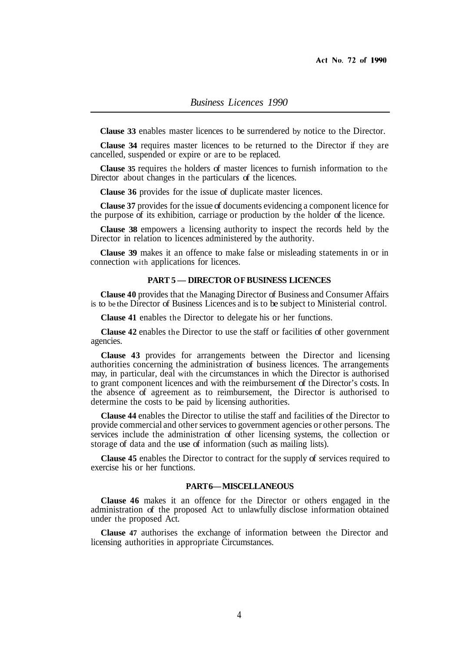**Clause 33** enables master licences to be surrendered by notice to the Director.

**Clause 34** requires master licences to be returned to the Director if they are cancelled, suspended or expire or are to be replaced.

**Clause 35** requires the holders of master licences to furnish information to the Director about changes in the particulars of the licences.

**Clause 36** provides for the issue of duplicate master licences.

**Clause 37** provides for the issue of documents evidencing a component licence for the purpose of its exhibition, carriage or production by the holder of the licence.

**Clause 38** empowers a licensing authority to inspect the records held by the Director in relation to licences administered by the authority.

**Clause 39** makes it an offence to make false or misleading statements in or in connection with applications for licences.

#### **PART 5 — DIRECTOR OF BUSINESS LICENCES**

**Clause 40** provides that the Managing Director of Business and Consumer Affairs is to be the Director of Business Licences and is to be subject to Ministerial control.

**Clause 41** enables the Director to delegate his or her functions.

**Clause 42** enables the Director to use the staff or facilities of other government agencies.

**Clause 43** provides for arrangements between the Director and licensing authorities concerning the administration of business licences. The arrangements may, in particular, deal with the circumstances in which the Director is authorised to grant component licences and with the reimbursement of the Director's costs. In the absence of agreement as to reimbursement, the Director is authorised to determine the costs to be paid by licensing authorities.

**Clause 44** enables the Director to utilise the staff and facilities of the Director to provide commercial and other services to government agencies or other persons. The services include the administration of other licensing systems, the collection or storage of data and the use of information (such as mailing lists).

**Clause 45** enables the Director to contract for the supply of services required to exercise his or her functions.

## **PART 6 — MISCELLANEOUS**

**Clause 46** makes it an offence for the Director or others engaged in the administration of the proposed Act to unlawfully disclose information obtained under the proposed Act.

**Clause 47** authorises the exchange of information between the Director and licensing authorities in appropriate Circumstances.